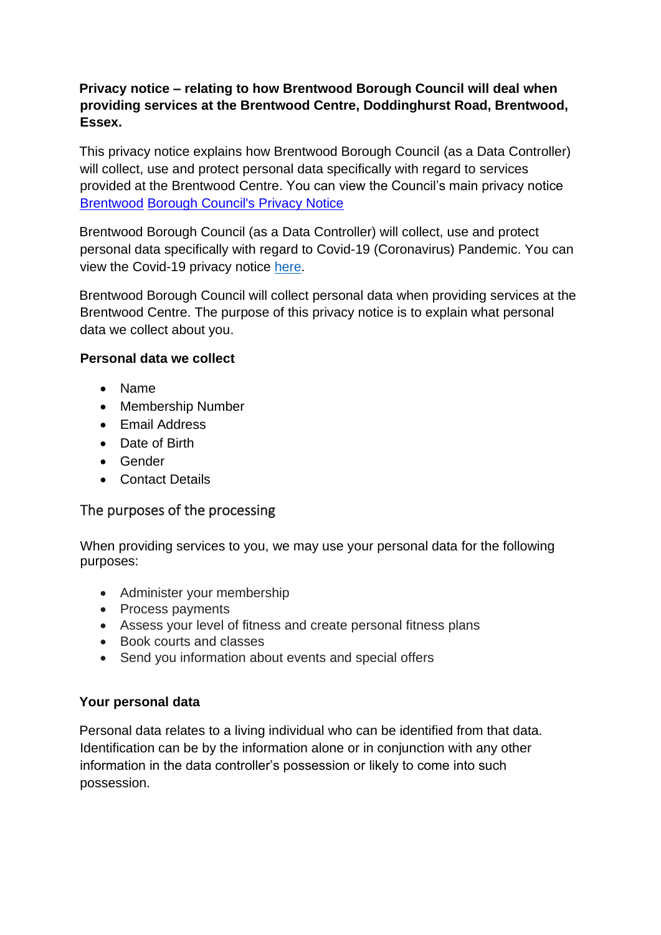# **Privacy notice – relating to how Brentwood Borough Council will deal when providing services at the Brentwood Centre, Doddinghurst Road, Brentwood, Essex.**

This privacy notice explains how Brentwood Borough Council (as a Data Controller) will collect, use and protect personal data specifically with regard to services provided at the Brentwood Centre. You can view the Council's main privacy notice [Brentwood](http://www.brentwood.gov.uk/index.php?cid=2885) [Borough Council's Privacy Notice](http://www.brentwood.gov.uk/index.php?cid=2885)

Brentwood Borough Council (as a Data Controller) will collect, use and protect personal data specifically with regard to Covid-19 (Coronavirus) Pandemic. You can view the Covid-19 privacy notice [here.](https://www.brentwood.gov.uk/pdf/19032020155612000000.pdf)

Brentwood Borough Council will collect personal data when providing services at the Brentwood Centre. The purpose of this privacy notice is to explain what personal data we collect about you.

## **Personal data we collect**

- Name
- Membership Number
- Email Address
- Date of Birth
- Gender
- Contact Details

## The purposes of the processing

When providing services to you, we may use your personal data for the following purposes:

- Administer your membership
- Process payments
- Assess your level of fitness and create personal fitness plans
- Book courts and classes
- Send you information about events and special offers

#### **Your personal data**

Personal data relates to a living individual who can be identified from that data. Identification can be by the information alone or in conjunction with any other information in the data controller's possession or likely to come into such possession.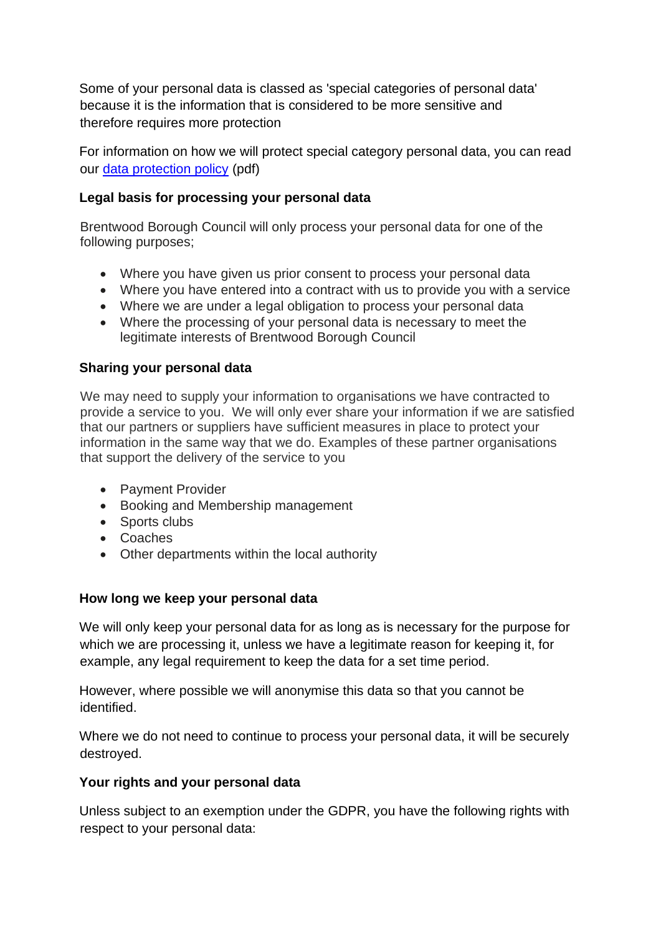Some of your personal data is classed as 'special categories of personal data' because it is the information that is considered to be more sensitive and therefore requires more protection

For information on how we will protect special category personal data, you can read our [data protection policy](http://www.brentwood.gov.uk/pdf/10042018164100000000.pdf) [\(](http://www.brentwood.gov.uk/pdf/10042018164100000000.pdf)pdf)

### **Legal basis for processing your personal data**

Brentwood Borough Council will only process your personal data for one of the following purposes;

- Where you have given us prior consent to process your personal data
- Where you have entered into a contract with us to provide you with a service
- Where we are under a legal obligation to process your personal data
- Where the processing of your personal data is necessary to meet the legitimate interests of Brentwood Borough Council

#### **Sharing your personal data**

We may need to supply your information to organisations we have contracted to provide a service to you. We will only ever share your information if we are satisfied that our partners or suppliers have sufficient measures in place to protect your information in the same way that we do. Examples of these partner organisations that support the delivery of the service to you

- Payment Provider
- Booking and Membership management
- Sports clubs
- Coaches
- Other departments within the local authority

## **How long we keep your personal data**

We will only keep your personal data for as long as is necessary for the purpose for which we are processing it, unless we have a legitimate reason for keeping it, for example, any legal requirement to keep the data for a set time period.

However, where possible we will anonymise this data so that you cannot be identified.

Where we do not need to continue to process your personal data, it will be securely destroyed.

#### **Your rights and your personal data**

Unless subject to an exemption under the GDPR, you have the following rights with respect to your personal data: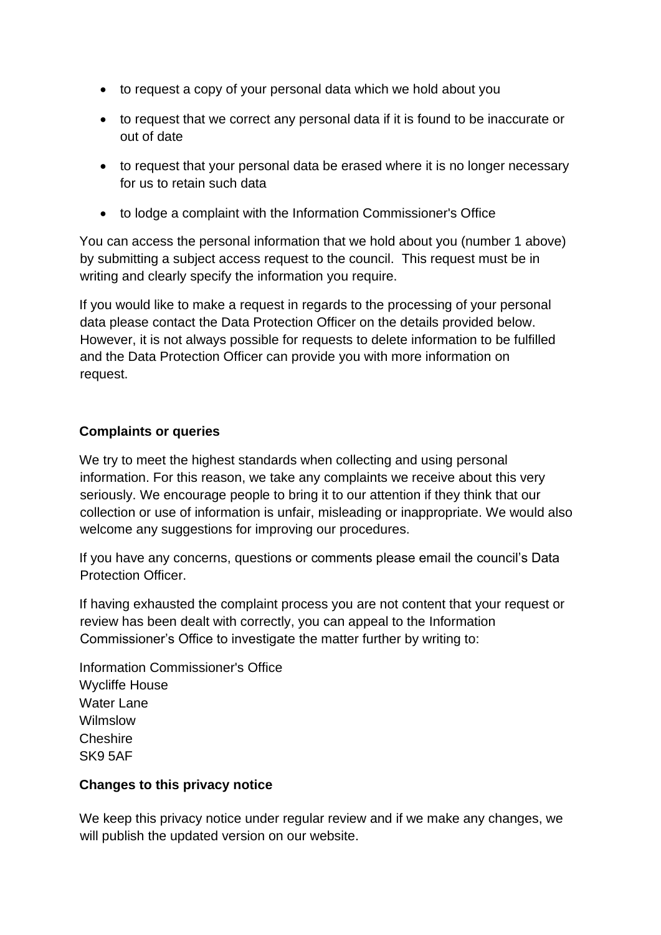- to request a copy of your personal data which we hold about you
- to request that we correct any personal data if it is found to be inaccurate or out of date
- to request that your personal data be erased where it is no longer necessary for us to retain such data
- to lodge a complaint with the Information Commissioner's Office

You can access the personal information that we hold about you (number 1 above) by submitting a subject access request to the council. This request must be in writing and clearly specify the information you require.

If you would like to make a request in regards to the processing of your personal data please contact the Data Protection Officer on the details provided below. However, it is not always possible for requests to delete information to be fulfilled and the Data Protection Officer can provide you with more information on request.

#### **Complaints or queries**

We try to meet the highest standards when collecting and using personal information. For this reason, we take any complaints we receive about this very seriously. We encourage people to bring it to our attention if they think that our collection or use of information is unfair, misleading or inappropriate. We would also welcome any suggestions for improving our procedures.

If you have any concerns, questions or comments please email the council's Data Protection Officer.

If having exhausted the complaint process you are not content that your request or review has been dealt with correctly, you can appeal to the Information Commissioner's Office to investigate the matter further by writing to:

Information Commissioner's Office Wycliffe House Water Lane Wilmslow Cheshire SK9 5AF

#### **Changes to this privacy notice**

We keep this privacy notice under regular review and if we make any changes, we will publish the updated version on our website.